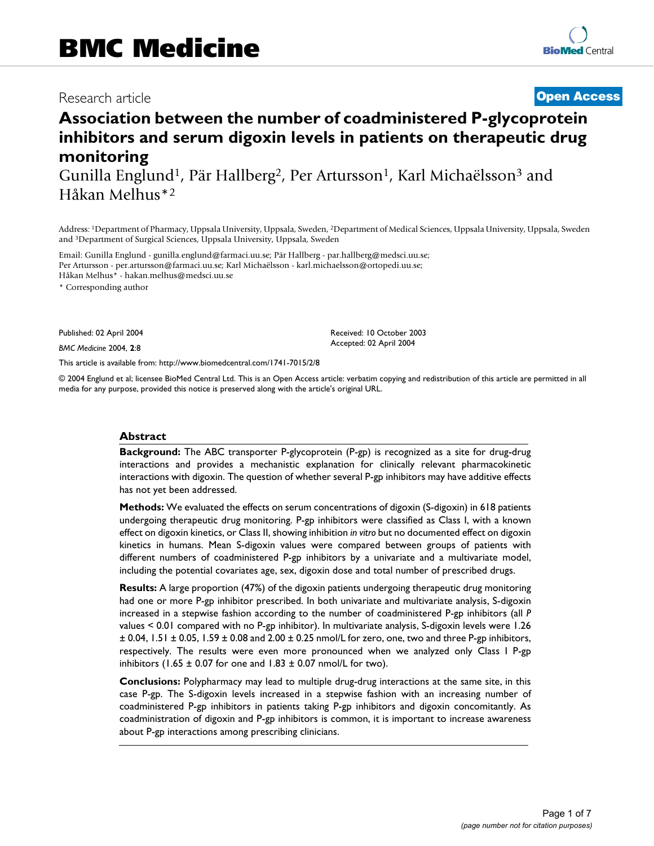# Research article **[Open Access](http://www.biomedcentral.com/info/about/charter/)**

# **Association between the number of coadministered P-glycoprotein inhibitors and serum digoxin levels in patients on therapeutic drug monitoring**

Gunilla Englund<sup>1</sup>, Pär Hallberg<sup>2</sup>, Per Artursson<sup>1</sup>, Karl Michaëlsson<sup>3</sup> and Håkan Melhus\*2

Address: 1Department of Pharmacy, Uppsala University, Uppsala, Sweden, 2Department of Medical Sciences, Uppsala University, Uppsala, Sweden and 3Department of Surgical Sciences, Uppsala University, Uppsala, Sweden

Email: Gunilla Englund - gunilla.englund@farmaci.uu.se; Pär Hallberg - par.hallberg@medsci.uu.se; Per Artursson - per.artursson@farmaci.uu.se; Karl Michaëlsson - karl.michaelsson@ortopedi.uu.se; Håkan Melhus\* - hakan.melhus@medsci.uu.se

\* Corresponding author

Published: 02 April 2004

*BMC Medicine* 2004, **2**:8

[This article is available from: http://www.biomedcentral.com/1741-7015/2/8](http://www.biomedcentral.com/1741-7015/2/8)

© 2004 Englund et al; licensee BioMed Central Ltd. This is an Open Access article: verbatim copying and redistribution of this article are permitted in all media for any purpose, provided this notice is preserved along with the article's original URL.

Received: 10 October 2003 Accepted: 02 April 2004

#### **Abstract**

**Background:** The ABC transporter P-glycoprotein (P-gp) is recognized as a site for drug-drug interactions and provides a mechanistic explanation for clinically relevant pharmacokinetic interactions with digoxin. The question of whether several P-gp inhibitors may have additive effects has not yet been addressed.

**Methods:** We evaluated the effects on serum concentrations of digoxin (S-digoxin) in 618 patients undergoing therapeutic drug monitoring. P-gp inhibitors were classified as Class I, with a known effect on digoxin kinetics, or Class II, showing inhibition *in vitro* but no documented effect on digoxin kinetics in humans. Mean S-digoxin values were compared between groups of patients with different numbers of coadministered P-gp inhibitors by a univariate and a multivariate model, including the potential covariates age, sex, digoxin dose and total number of prescribed drugs.

**Results:** A large proportion (47%) of the digoxin patients undergoing therapeutic drug monitoring had one or more P-gp inhibitor prescribed. In both univariate and multivariate analysis, S-digoxin increased in a stepwise fashion according to the number of coadministered P-gp inhibitors (all *P* values < 0.01 compared with no P-gp inhibitor). In multivariate analysis, S-digoxin levels were 1.26  $\pm$  0.04, 1.51  $\pm$  0.05, 1.59  $\pm$  0.08 and 2.00  $\pm$  0.25 nmol/L for zero, one, two and three P-gp inhibitors, respectively. The results were even more pronounced when we analyzed only Class I P-gp inhibitors (1.65  $\pm$  0.07 for one and 1.83  $\pm$  0.07 nmol/L for two).

**Conclusions:** Polypharmacy may lead to multiple drug-drug interactions at the same site, in this case P-gp. The S-digoxin levels increased in a stepwise fashion with an increasing number of coadministered P-gp inhibitors in patients taking P-gp inhibitors and digoxin concomitantly. As coadministration of digoxin and P-gp inhibitors is common, it is important to increase awareness about P-gp interactions among prescribing clinicians.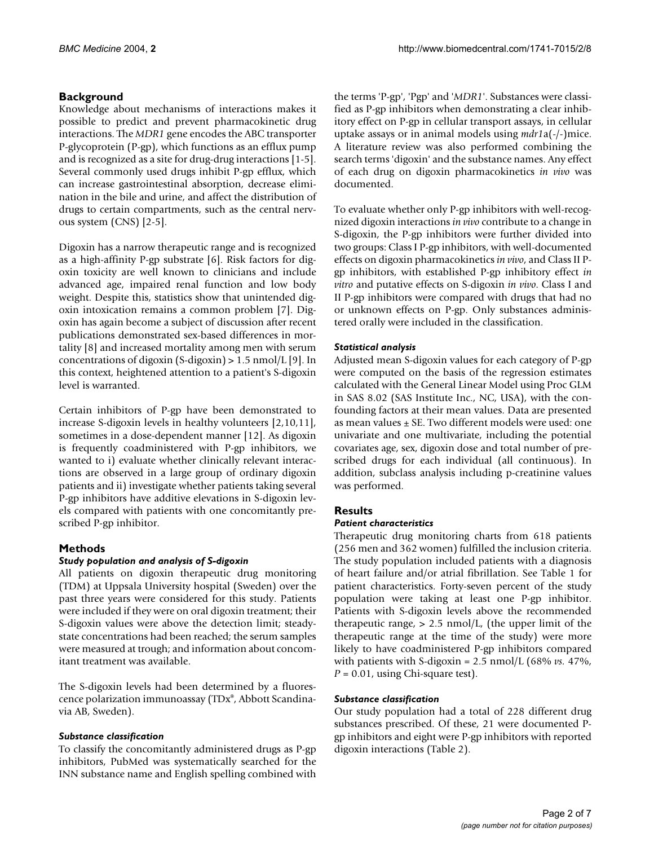# **Background**

Knowledge about mechanisms of interactions makes it possible to predict and prevent pharmacokinetic drug interactions. The *MDR1* gene encodes the ABC transporter P-glycoprotein (P-gp), which functions as an efflux pump and is recognized as a site for drug-drug interactions [1-5]. Several commonly used drugs inhibit P-gp efflux, which can increase gastrointestinal absorption, decrease elimination in the bile and urine, and affect the distribution of drugs to certain compartments, such as the central nervous system (CNS) [2-5].

Digoxin has a narrow therapeutic range and is recognized as a high-affinity P-gp substrate [6]. Risk factors for digoxin toxicity are well known to clinicians and include advanced age, impaired renal function and low body weight. Despite this, statistics show that unintended digoxin intoxication remains a common problem [7]. Digoxin has again become a subject of discussion after recent publications demonstrated sex-based differences in mortality [8] and increased mortality among men with serum concentrations of digoxin (S-digoxin) > 1.5 nmol/L [9]. In this context, heightened attention to a patient's S-digoxin level is warranted.

Certain inhibitors of P-gp have been demonstrated to increase S-digoxin levels in healthy volunteers [2,10,11], sometimes in a dose-dependent manner [12]. As digoxin is frequently coadministered with P-gp inhibitors, we wanted to i) evaluate whether clinically relevant interactions are observed in a large group of ordinary digoxin patients and ii) investigate whether patients taking several P-gp inhibitors have additive elevations in S-digoxin levels compared with patients with one concomitantly prescribed P-gp inhibitor.

# **Methods**

# *Study population and analysis of S-digoxin*

All patients on digoxin therapeutic drug monitoring (TDM) at Uppsala University hospital (Sweden) over the past three years were considered for this study. Patients were included if they were on oral digoxin treatment; their S-digoxin values were above the detection limit; steadystate concentrations had been reached; the serum samples were measured at trough; and information about concomitant treatment was available.

The S-digoxin levels had been determined by a fluorescence polarization immunoassay (TDx®, Abbott Scandinavia AB, Sweden).

# *Substance classification*

To classify the concomitantly administered drugs as P-gp inhibitors, PubMed was systematically searched for the INN substance name and English spelling combined with

the terms 'P-gp', 'Pgp' and '*MDR1*'. Substances were classified as P-gp inhibitors when demonstrating a clear inhibitory effect on P-gp in cellular transport assays, in cellular uptake assays or in animal models using *mdr1*a(-/-)mice. A literature review was also performed combining the search terms 'digoxin' and the substance names. Any effect of each drug on digoxin pharmacokinetics *in vivo* was documented.

To evaluate whether only P-gp inhibitors with well-recognized digoxin interactions *in vivo* contribute to a change in S-digoxin, the P-gp inhibitors were further divided into two groups: Class I P-gp inhibitors, with well-documented effects on digoxin pharmacokinetics *in vivo*, and Class II Pgp inhibitors, with established P-gp inhibitory effect *in vitro* and putative effects on S-digoxin *in vivo*. Class I and II P-gp inhibitors were compared with drugs that had no or unknown effects on P-gp. Only substances administered orally were included in the classification.

# *Statistical analysis*

Adjusted mean S-digoxin values for each category of P-gp were computed on the basis of the regression estimates calculated with the General Linear Model using Proc GLM in SAS 8.02 (SAS Institute Inc., NC, USA), with the confounding factors at their mean values. Data are presented as mean values ± SE. Two different models were used: one univariate and one multivariate, including the potential covariates age, sex, digoxin dose and total number of prescribed drugs for each individual (all continuous). In addition, subclass analysis including p-creatinine values was performed.

# **Results**

# *Patient characteristics*

Therapeutic drug monitoring charts from 618 patients (256 men and 362 women) fulfilled the inclusion criteria. The study population included patients with a diagnosis of heart failure and/or atrial fibrillation. See Table [1](#page-2-0) for patient characteristics. Forty-seven percent of the study population were taking at least one P-gp inhibitor. Patients with S-digoxin levels above the recommended therapeutic range,  $> 2.5$  nmol/L, (the upper limit of the therapeutic range at the time of the study) were more likely to have coadministered P-gp inhibitors compared with patients with S-digoxin = 2.5 nmol/L (68% *vs.* 47%,  $P = 0.01$ , using Chi-square test).

# *Substance classification*

Our study population had a total of 228 different drug substances prescribed. Of these, 21 were documented Pgp inhibitors and eight were P-gp inhibitors with reported digoxin interactions (Table [2](#page-2-1)).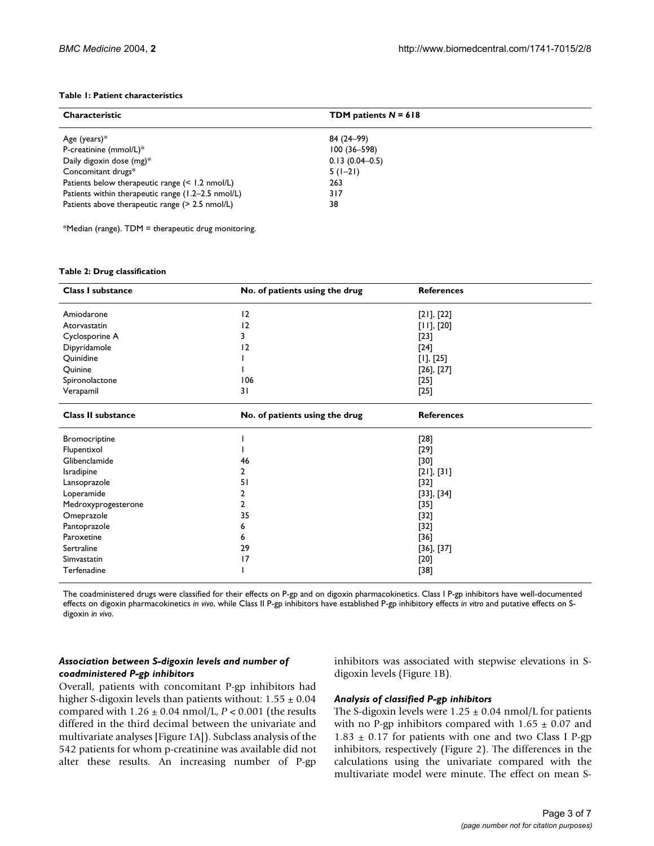#### <span id="page-2-0"></span>**Table 1: Patient characteristics**

| <b>Characteristic</b>                              | TDM patients $N = 618$ |
|----------------------------------------------------|------------------------|
| Age (years) $*$                                    | 84 (24–99)             |
| P-creatinine (mmol/L)*                             | $100(36 - 598)$        |
| Daily digoxin dose (mg)*                           | $0.13(0.04 - 0.5)$     |
| Concomitant drugs*                                 | $5(1-21)$              |
| Patients below therapeutic range $($ < 1.2 nmol/L) | 263                    |
| Patients within therapeutic range (1.2-2.5 nmol/L) | 317                    |
| Patients above therapeutic range (> 2.5 nmol/L)    | 38                     |

\*Median (range). TDM = therapeutic drug monitoring.

#### <span id="page-2-1"></span>**Table 2: Drug classification**

| <b>Class I substance</b>  | No. of patients using the drug | <b>References</b> |
|---------------------------|--------------------------------|-------------------|
| Amiodarone                | 12                             | [21], [22]        |
| Atorvastatin              | 12                             | $[11]$ , $[20]$   |
| Cyclosporine A            | 3                              | $[23]$            |
| Dipyridamole              | 12                             | $[24]$            |
| Quinidine                 |                                | [1], [25]         |
| Quinine                   |                                | $[26]$ , $[27]$   |
| Spironolactone            | 106                            | $[25]$            |
| Verapamil                 | 31                             | $[25]$            |
| <b>Class II substance</b> | No. of patients using the drug | <b>References</b> |
| Bromocriptine             |                                | $[28]$            |
| Flupentixol               |                                | $[29]$            |
| Glibenclamide             | 46                             | $[30]$            |
| Isradipine                | 2                              | [21], [31]        |
| Lansoprazole              | 51                             | [32]              |
| Loperamide                | 2                              | $[33]$ , $[34]$   |
| Medroxyprogesterone       | 2                              | $[35]$            |
| Omeprazole                | 35                             | $[32]$            |
| Pantoprazole              | 6                              | $[32]$            |
| Paroxetine                | 6                              | $[36]$            |
| Sertraline                | 29                             | $[36]$ , $[37]$   |
| Simvastatin               | 17                             | $[20]$            |
| Terfenadine               |                                | $[38]$            |

The coadministered drugs were classified for their effects on P-gp and on digoxin pharmacokinetics. Class I P-gp inhibitors have well-documented effects on digoxin pharmacokinetics *in vivo*, while Class II P-gp inhibitors have established P-gp inhibitory effects *in vitro* and putative effects on Sdigoxin *in vivo*.

### *Association between S-digoxin levels and number of coadministered P-gp inhibitors*

inhibitors was associated with stepwise elevations in Sdigoxin levels (Figure [1](#page-3-0)B).

Overall, patients with concomitant P-gp inhibitors had higher S-digoxin levels than patients without:  $1.55 \pm 0.04$ compared with 1.26 ± 0.04 nmol/L, *P* < 0.001 (the results differed in the third decimal between the univariate and multivariate analyses [Figure [1A](#page-3-0)]). Subclass analysis of the 542 patients for whom p-creatinine was available did not alter these results. An increasing number of P-gp

#### *Analysis of classified P-gp inhibitors*

The S-digoxin levels were  $1.25 \pm 0.04$  nmol/L for patients with no P-gp inhibitors compared with  $1.65 \pm 0.07$  and  $1.83 \pm 0.17$  for patients with one and two Class I P-gp inhibitors, respectively (Figure 2). The differences in the calculations using the univariate compared with the multivariate model were minute. The effect on mean S-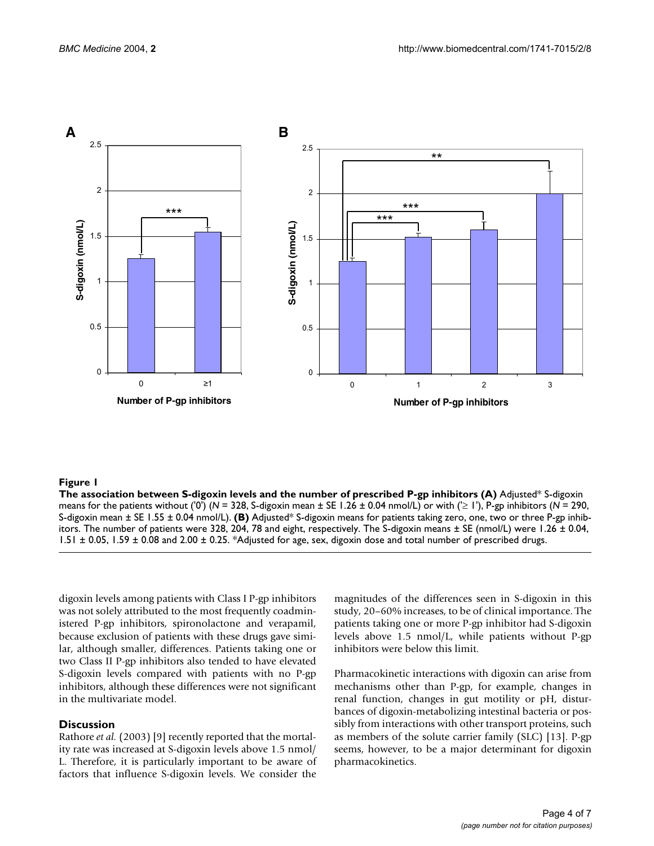<span id="page-3-0"></span>

### Figure 1

**The association between S-digoxin levels and the number of prescribed P-gp inhibitors (A)** Adjusted\* S-digoxin means for the patients without ('0') (*N* = 328, S-digoxin mean ± SE 1.26 ± 0.04 nmol/L) or with ('≥ 1'), P-gp inhibitors (*N* = 290, S-digoxin mean ± SE 1.55 ± 0.04 nmol/L). **(B)** Adjusted\* S-digoxin means for patients taking zero, one, two or three P-gp inhibitors. The number of patients were 328, 204, 78 and eight, respectively. The S-digoxin means  $\pm$  SE (nmol/L) were 1.26  $\pm$  0.04, 1.51 ± 0.05, 1.59 ± 0.08 and 2.00 ± 0.25. \*Adjusted for age, sex, digoxin dose and total number of prescribed drugs.

digoxin levels among patients with Class I P-gp inhibitors was not solely attributed to the most frequently coadministered P-gp inhibitors, spironolactone and verapamil, because exclusion of patients with these drugs gave similar, although smaller, differences. Patients taking one or two Class II P-gp inhibitors also tended to have elevated S-digoxin levels compared with patients with no P-gp inhibitors, although these differences were not significant in the multivariate model.

#### **Discussion**

Rathore *et al.* (2003) [9] recently reported that the mortality rate was increased at S-digoxin levels above 1.5 nmol/ L. Therefore, it is particularly important to be aware of factors that influence S-digoxin levels. We consider the magnitudes of the differences seen in S-digoxin in this study, 20–60% increases, to be of clinical importance. The patients taking one or more P-gp inhibitor had S-digoxin levels above 1.5 nmol/L, while patients without P-gp inhibitors were below this limit.

Pharmacokinetic interactions with digoxin can arise from mechanisms other than P-gp, for example, changes in renal function, changes in gut motility or pH, disturbances of digoxin-metabolizing intestinal bacteria or possibly from interactions with other transport proteins, such as members of the solute carrier family (SLC) [13]. P-gp seems, however, to be a major determinant for digoxin pharmacokinetics.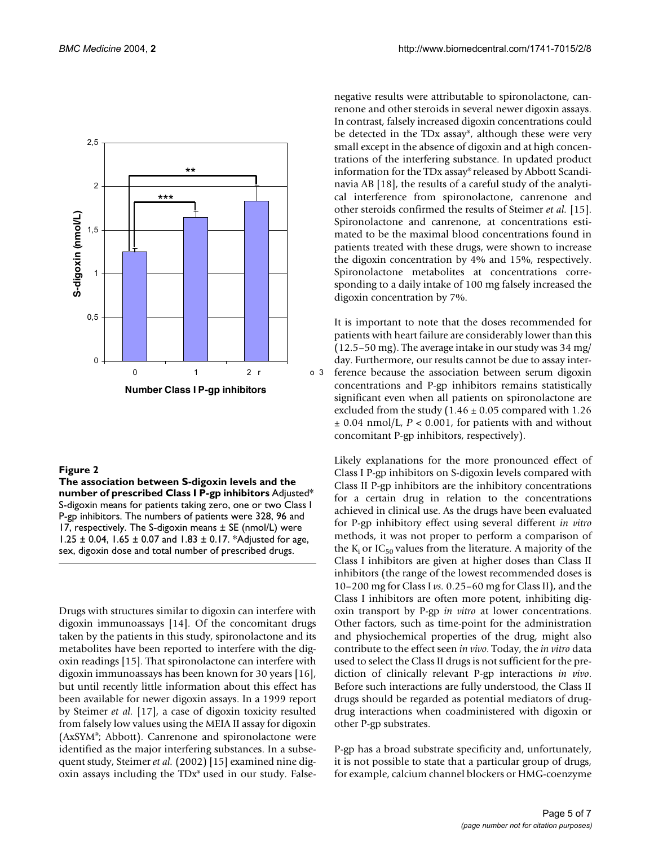

#### Figure 2

**The association between S-digoxin levels and the number of prescribed Class I P-gp inhibitors** Adjusted\* S-digoxin means for patients taking zero, one or two Class I P-gp inhibitors. The numbers of patients were 328, 96 and 17, respectively. The S-digoxin means ± SE (nmol/L) were 1.25 ± 0.04, 1.65 ± 0.07 and 1.83 ± 0.17. \*Adjusted for age, sex, digoxin dose and total number of prescribed drugs.

Drugs with structures similar to digoxin can interfere with digoxin immunoassays [14]. Of the concomitant drugs taken by the patients in this study, spironolactone and its metabolites have been reported to interfere with the digoxin readings [15]. That spironolactone can interfere with digoxin immunoassays has been known for 30 years [16], but until recently little information about this effect has been available for newer digoxin assays. In a 1999 report by Steimer *et al.* [17], a case of digoxin toxicity resulted from falsely low values using the MEIA II assay for digoxin (AxSYM®; Abbott). Canrenone and spironolactone were identified as the major interfering substances. In a subsequent study, Steimer *et al.* (2002) [15] examined nine digoxin assays including the TDx® used in our study. Falsenegative results were attributable to spironolactone, canrenone and other steroids in several newer digoxin assays. In contrast, falsely increased digoxin concentrations could be detected in the TDx assay®, although these were very small except in the absence of digoxin and at high concentrations of the interfering substance. In updated product information for the TDx assay® released by Abbott Scandinavia AB [18], the results of a careful study of the analytical interference from spironolactone, canrenone and other steroids confirmed the results of Steimer *et al.* [15]. Spironolactone and canrenone, at concentrations estimated to be the maximal blood concentrations found in patients treated with these drugs, were shown to increase the digoxin concentration by 4% and 15%, respectively. Spironolactone metabolites at concentrations corresponding to a daily intake of 100 mg falsely increased the digoxin concentration by 7%.

It is important to note that the doses recommended for patients with heart failure are considerably lower than this (12.5–50 mg). The average intake in our study was 34 mg/ day. Furthermore, our results cannot be due to assay interference because the association between serum digoxin concentrations and P-gp inhibitors remains statistically significant even when all patients on spironolactone are excluded from the study (1.46  $\pm$  0.05 compared with 1.26 ± 0.04 nmol/L, *P* < 0.001, for patients with and without concomitant P-gp inhibitors, respectively).

Likely explanations for the more pronounced effect of Class I P-gp inhibitors on S-digoxin levels compared with Class II P-gp inhibitors are the inhibitory concentrations for a certain drug in relation to the concentrations achieved in clinical use. As the drugs have been evaluated for P-gp inhibitory effect using several different *in vitro* methods, it was not proper to perform a comparison of the  $K_i$  or IC<sub>50</sub> values from the literature. A majority of the Class I inhibitors are given at higher doses than Class II inhibitors (the range of the lowest recommended doses is 10–200 mg for Class I *vs.* 0.25–60 mg for Class II), and the Class I inhibitors are often more potent, inhibiting digoxin transport by P-gp *in vitro* at lower concentrations. Other factors, such as time-point for the administration and physiochemical properties of the drug, might also contribute to the effect seen *in vivo*. Today, the *in vitro* data used to select the Class II drugs is not sufficient for the prediction of clinically relevant P-gp interactions *in vivo*. Before such interactions are fully understood, the Class II drugs should be regarded as potential mediators of drugdrug interactions when coadministered with digoxin or other P-gp substrates.

P-gp has a broad substrate specificity and, unfortunately, it is not possible to state that a particular group of drugs, for example, calcium channel blockers or HMG-coenzyme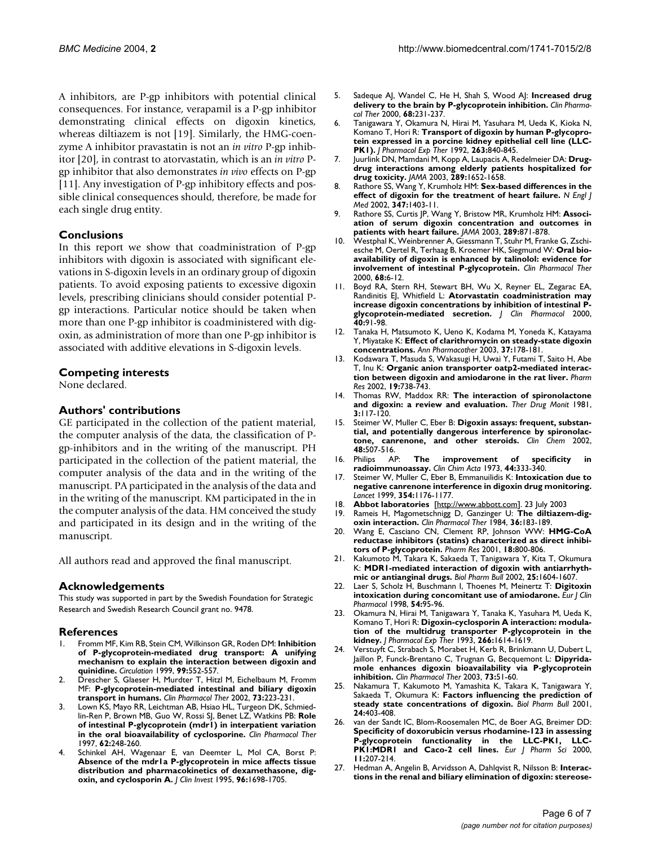A inhibitors, are P-gp inhibitors with potential clinical consequences. For instance, verapamil is a P-gp inhibitor demonstrating clinical effects on digoxin kinetics, whereas diltiazem is not [19]. Similarly, the HMG-coenzyme A inhibitor pravastatin is not an *in vitro* P-gp inhibitor [20], in contrast to atorvastatin, which is an *in vitro* Pgp inhibitor that also demonstrates *in vivo* effects on P-gp [11]. Any investigation of P-gp inhibitory effects and possible clinical consequences should, therefore, be made for each single drug entity.

# **Conclusions**

In this report we show that coadministration of P-gp inhibitors with digoxin is associated with significant elevations in S-digoxin levels in an ordinary group of digoxin patients. To avoid exposing patients to excessive digoxin levels, prescribing clinicians should consider potential Pgp interactions. Particular notice should be taken when more than one P-gp inhibitor is coadministered with digoxin, as administration of more than one P-gp inhibitor is associated with additive elevations in S-digoxin levels.

# **Competing interests**

None declared.

### **Authors' contributions**

GE participated in the collection of the patient material, the computer analysis of the data, the classification of Pgp-inhibitors and in the writing of the manuscript. PH participated in the collection of the patient material, the computer analysis of the data and in the writing of the manuscript. PA participated in the analysis of the data and in the writing of the manuscript. KM participated in the in the computer analysis of the data. HM conceived the study and participated in its design and in the writing of the manuscript.

All authors read and approved the final manuscript.

#### **Acknowledgements**

This study was supported in part by the Swedish Foundation for Strategic Research and Swedish Research Council grant no. 9478.

#### **References**

- 1. Fromm MF, Kim RB, Stein CM, Wilkinson GR, Roden DM: **[Inhibition](http://www.ncbi.nlm.nih.gov/entrez/query.fcgi?cmd=Retrieve&db=PubMed&dopt=Abstract&list_uids=9927403) [of P-glycoprotein-mediated drug transport: A unifying](http://www.ncbi.nlm.nih.gov/entrez/query.fcgi?cmd=Retrieve&db=PubMed&dopt=Abstract&list_uids=9927403) mechanism to explain the interaction between digoxin and [quinidine.](http://www.ncbi.nlm.nih.gov/entrez/query.fcgi?cmd=Retrieve&db=PubMed&dopt=Abstract&list_uids=9927403)** *Circulation* 1999, **99:**552-557.
- 2. Drescher S, Glaeser H, Murdter T, Hitzl M, Eichelbaum M, Fromm MF: **[P-glycoprotein-mediated intestinal and biliary digoxin](http://www.ncbi.nlm.nih.gov/entrez/query.fcgi?cmd=Retrieve&db=PubMed&dopt=Abstract&list_uids=10.1067/mcp.2003.27) [transport in humans.](http://www.ncbi.nlm.nih.gov/entrez/query.fcgi?cmd=Retrieve&db=PubMed&dopt=Abstract&list_uids=10.1067/mcp.2003.27)** *Clin Pharmacol Ther* 2002, **73:**223-231.
- Lown KS, Mayo RR, Leichtman AB, Hsiao HL, Turgeon DK, Schmiedlin-Ren P, Brown MB, Guo W, Rossi SJ, Benet LZ, Watkins PB: **[Role](http://www.ncbi.nlm.nih.gov/entrez/query.fcgi?cmd=Retrieve&db=PubMed&dopt=Abstract&list_uids=9333100) [of intestinal P-glycoprotein \(mdr1\) in interpatient variation](http://www.ncbi.nlm.nih.gov/entrez/query.fcgi?cmd=Retrieve&db=PubMed&dopt=Abstract&list_uids=9333100) [in the oral bioavailability of cyclosporine.](http://www.ncbi.nlm.nih.gov/entrez/query.fcgi?cmd=Retrieve&db=PubMed&dopt=Abstract&list_uids=9333100)** *Clin Pharmacol Ther* 1997, **62:**248-260.
- Schinkel AH, Wagenaar E, van Deemter L, Mol CA, Borst P: **[Absence of the mdr1a P-glycoprotein in mice affects tissue](http://www.ncbi.nlm.nih.gov/entrez/query.fcgi?cmd=Retrieve&db=PubMed&dopt=Abstract&list_uids=7560060) distribution and pharmacokinetics of dexamethasone, dig[oxin, and cyclosporin A.](http://www.ncbi.nlm.nih.gov/entrez/query.fcgi?cmd=Retrieve&db=PubMed&dopt=Abstract&list_uids=7560060)** *J Clin Invest* 1995, **96:**1698-1705.
- 5. Sadeque AJ, Wandel C, He H, Shah S, Wood AJ: **[Increased drug](http://www.ncbi.nlm.nih.gov/entrez/query.fcgi?cmd=Retrieve&db=PubMed&dopt=Abstract&list_uids=10.1067/mcp.2000.109156) [delivery to the brain by P-glycoprotein inhibition](http://www.ncbi.nlm.nih.gov/entrez/query.fcgi?cmd=Retrieve&db=PubMed&dopt=Abstract&list_uids=10.1067/mcp.2000.109156)[.](http://www.ncbi.nlm.nih.gov/entrez/query.fcgi?cmd=Retrieve&db=PubMed&dopt=Abstract&list_uids=11014404)** *Clin Pharmacol Ther* 2000, **68:**231-237.
- 6. Tanigawara Y, Okamura N, Hirai M, Yasuhara M, Ueda K, Kioka N, Komano T, Hori R: **[Transport of digoxin by human P-glycopro](http://www.ncbi.nlm.nih.gov/entrez/query.fcgi?cmd=Retrieve&db=PubMed&dopt=Abstract&list_uids=1359120)[tein expressed in a porcine kidney epithelial cell line \(LLC-](http://www.ncbi.nlm.nih.gov/entrez/query.fcgi?cmd=Retrieve&db=PubMed&dopt=Abstract&list_uids=1359120)[PK1\).](http://www.ncbi.nlm.nih.gov/entrez/query.fcgi?cmd=Retrieve&db=PubMed&dopt=Abstract&list_uids=1359120)** *J Pharmacol Exp Ther* 1992, **263:**840-845.
- 7. Juurlink DN, Mamdani M, Kopp A, Laupacis A, Redelmeier DA: **[Drug](http://www.ncbi.nlm.nih.gov/entrez/query.fcgi?cmd=Retrieve&db=PubMed&dopt=Abstract&list_uids=10.1001/jama.289.13.1652)[drug interactions among elderly patients hospitalized for](http://www.ncbi.nlm.nih.gov/entrez/query.fcgi?cmd=Retrieve&db=PubMed&dopt=Abstract&list_uids=10.1001/jama.289.13.1652) [drug toxicity](http://www.ncbi.nlm.nih.gov/entrez/query.fcgi?cmd=Retrieve&db=PubMed&dopt=Abstract&list_uids=10.1001/jama.289.13.1652)[.](http://www.ncbi.nlm.nih.gov/entrez/query.fcgi?cmd=Retrieve&db=PubMed&dopt=Abstract&list_uids=12672733)** *JAMA* 2003, **289:**1652-1658.
- 8. Rathore SS, Wang Y, Krumholz HM: **[Sex-based differences in the](http://www.ncbi.nlm.nih.gov/entrez/query.fcgi?cmd=Retrieve&db=PubMed&dopt=Abstract&list_uids=10.1056/NEJMoa021266) [effect of digoxin for the treatment of heart failure](http://www.ncbi.nlm.nih.gov/entrez/query.fcgi?cmd=Retrieve&db=PubMed&dopt=Abstract&list_uids=10.1056/NEJMoa021266)[.](http://www.ncbi.nlm.nih.gov/entrez/query.fcgi?cmd=Retrieve&db=PubMed&dopt=Abstract&list_uids=12409542)** *N Engl J Med* 2002, **347:**1403-11.
- 9. Rathore SS, Curtis JP, Wang Y, Bristow MR, Krumholz HM: **[Associ](http://www.ncbi.nlm.nih.gov/entrez/query.fcgi?cmd=Retrieve&db=PubMed&dopt=Abstract&list_uids=10.1001/jama.289.7.871)[ation of serum digoxin concentration and outcomes in](http://www.ncbi.nlm.nih.gov/entrez/query.fcgi?cmd=Retrieve&db=PubMed&dopt=Abstract&list_uids=10.1001/jama.289.7.871) [patients with heart failure](http://www.ncbi.nlm.nih.gov/entrez/query.fcgi?cmd=Retrieve&db=PubMed&dopt=Abstract&list_uids=10.1001/jama.289.7.871)[.](http://www.ncbi.nlm.nih.gov/entrez/query.fcgi?cmd=Retrieve&db=PubMed&dopt=Abstract&list_uids=12588271)** *JAMA* 2003, **289:**871-878.
- 10. Westphal K, Weinbrenner A, Giessmann T, Stuhr M, Franke G, Zschiesche M, Oertel R, Terhaag B, Kroemer HK, Siegmund W: **[Oral bio](http://www.ncbi.nlm.nih.gov/entrez/query.fcgi?cmd=Retrieve&db=PubMed&dopt=Abstract&list_uids=10.1067/mcp.2000.107579)[availability of digoxin is enhanced by talinolol: evidence for](http://www.ncbi.nlm.nih.gov/entrez/query.fcgi?cmd=Retrieve&db=PubMed&dopt=Abstract&list_uids=10.1067/mcp.2000.107579) [involvement of intestinal P-glycoprotein](http://www.ncbi.nlm.nih.gov/entrez/query.fcgi?cmd=Retrieve&db=PubMed&dopt=Abstract&list_uids=10.1067/mcp.2000.107579)[.](http://www.ncbi.nlm.nih.gov/entrez/query.fcgi?cmd=Retrieve&db=PubMed&dopt=Abstract&list_uids=10945310)** *Clin Pharmacol Ther* 2000, **68:**6-12.
- 11. Boyd RA, Stern RH, Stewart BH, Wu X, Reyner EL, Zegarac EA, Randinitis EJ, Whitfield L: **[Atorvastatin coadministration may](http://www.ncbi.nlm.nih.gov/entrez/query.fcgi?cmd=Retrieve&db=PubMed&dopt=Abstract&list_uids=10.1177/00912700022008612) [increase digoxin concentrations by inhibition of intestinal P](http://www.ncbi.nlm.nih.gov/entrez/query.fcgi?cmd=Retrieve&db=PubMed&dopt=Abstract&list_uids=10.1177/00912700022008612)[glycoprotein-mediated secretion](http://www.ncbi.nlm.nih.gov/entrez/query.fcgi?cmd=Retrieve&db=PubMed&dopt=Abstract&list_uids=10.1177/00912700022008612)[.](http://www.ncbi.nlm.nih.gov/entrez/query.fcgi?cmd=Retrieve&db=PubMed&dopt=Abstract&list_uids=10631627)** *J Clin Pharmacol* 2000, **40:**91-98.
- 12. Tanaka H, Matsumoto K, Ueno K, Kodama M, Yoneda K, Katayama Y, Miyatake K: **[Effect of clarithromycin on steady-state digoxin](http://www.ncbi.nlm.nih.gov/entrez/query.fcgi?cmd=Retrieve&db=PubMed&dopt=Abstract&list_uids=10.1345/aph.1C203) [concentrations](http://www.ncbi.nlm.nih.gov/entrez/query.fcgi?cmd=Retrieve&db=PubMed&dopt=Abstract&list_uids=10.1345/aph.1C203)[.](http://www.ncbi.nlm.nih.gov/entrez/query.fcgi?cmd=Retrieve&db=PubMed&dopt=Abstract&list_uids=12549942)** *Ann Pharmacother* 2003, **37:**178-181.
- 13. Kodawara T, Masuda S, Wakasugi H, Uwai Y, Futami T, Saito H, Abe T, Inu K: **[Organic anion transporter oatp2-mediated interac](http://www.ncbi.nlm.nih.gov/entrez/query.fcgi?cmd=Retrieve&db=PubMed&dopt=Abstract&list_uids=10.1023/A:1016184211491)[tion between digoxin and amiodarone in the rat liver](http://www.ncbi.nlm.nih.gov/entrez/query.fcgi?cmd=Retrieve&db=PubMed&dopt=Abstract&list_uids=10.1023/A:1016184211491)[.](http://www.ncbi.nlm.nih.gov/entrez/query.fcgi?cmd=Retrieve&db=PubMed&dopt=Abstract&list_uids=12134942)** *Pharm Res* 2002, **19:**738-743.
- 14. Thomas RW, Maddox RR: **[The interaction of spironolactone](http://www.ncbi.nlm.nih.gov/entrez/query.fcgi?cmd=Retrieve&db=PubMed&dopt=Abstract&list_uids=7022769) [and digoxin: a review and evaluation.](http://www.ncbi.nlm.nih.gov/entrez/query.fcgi?cmd=Retrieve&db=PubMed&dopt=Abstract&list_uids=7022769)** *Ther Drug Monit* 1981, **3:**117-120.
- 15. Steimer W, Muller C, Eber B: **[Digoxin assays: frequent, substan](http://www.ncbi.nlm.nih.gov/entrez/query.fcgi?cmd=Retrieve&db=PubMed&dopt=Abstract&list_uids=11861441)**tial, and potentially dangerous interference by spironolactone. canrenone, and other steroids. Clin Chem 2002. **[tone, canrenone, and other steroids.](http://www.ncbi.nlm.nih.gov/entrez/query.fcgi?cmd=Retrieve&db=PubMed&dopt=Abstract&list_uids=11861441)** *Clin Chem* 2002, **48:**507-516.
- 16. Philips AP: **[The improvement of specificity in](http://www.ncbi.nlm.nih.gov/entrez/query.fcgi?cmd=Retrieve&db=PubMed&dopt=Abstract&list_uids=10.1016/0009-8981(73)90075-2) [radioimmunoassay](http://www.ncbi.nlm.nih.gov/entrez/query.fcgi?cmd=Retrieve&db=PubMed&dopt=Abstract&list_uids=10.1016/0009-8981(73)90075-2)[.](http://www.ncbi.nlm.nih.gov/entrez/query.fcgi?cmd=Retrieve&db=PubMed&dopt=Abstract&list_uids=4694475)** *Clin Chim Acta* 1973, **44:**333-340.
- 17. Steimer W, Muller C, Eber B, Emmanuilidis K: **[Intoxication due to](http://www.ncbi.nlm.nih.gov/entrez/query.fcgi?cmd=Retrieve&db=PubMed&dopt=Abstract&list_uids=10.1016/S0140-6736(99)03818-0) [negative canrenone interference in digoxin drug monitoring](http://www.ncbi.nlm.nih.gov/entrez/query.fcgi?cmd=Retrieve&db=PubMed&dopt=Abstract&list_uids=10.1016/S0140-6736(99)03818-0)[.](http://www.ncbi.nlm.nih.gov/entrez/query.fcgi?cmd=Retrieve&db=PubMed&dopt=Abstract&list_uids=10513714)** *Lancet* 1999, **354:**1176-1177.
- 18. **Abbot laboratories** [\[http://www.abbott.com\]](http://www.abbott.com). 23 July 2003
- Rameis H, Magometschnigg D, Ganzinger U: [The diltiazem-dig](http://www.ncbi.nlm.nih.gov/entrez/query.fcgi?cmd=Retrieve&db=PubMed&dopt=Abstract&list_uids=6744777)**[oxin interaction.](http://www.ncbi.nlm.nih.gov/entrez/query.fcgi?cmd=Retrieve&db=PubMed&dopt=Abstract&list_uids=6744777)** *Clin Pharmacol Ther* 1984, **36:**183-189.
- 20. Wang E, Casciano CN, Clement RP, Johnson WW: **[HMG-CoA](http://www.ncbi.nlm.nih.gov/entrez/query.fcgi?cmd=Retrieve&db=PubMed&dopt=Abstract&list_uids=10.1023/A:1011036428972) [reductase inhibitors \(statins\) characterized as direct inhibi](http://www.ncbi.nlm.nih.gov/entrez/query.fcgi?cmd=Retrieve&db=PubMed&dopt=Abstract&list_uids=10.1023/A:1011036428972)[tors of P-glycoprotein](http://www.ncbi.nlm.nih.gov/entrez/query.fcgi?cmd=Retrieve&db=PubMed&dopt=Abstract&list_uids=10.1023/A:1011036428972)[.](http://www.ncbi.nlm.nih.gov/entrez/query.fcgi?cmd=Retrieve&db=PubMed&dopt=Abstract&list_uids=11474784)** *Pharm Res* 2001, **18:**800-806.
- 21. Kakumoto M, Takara K, Sakaeda T, Tanigawara Y, Kita T, Okumura K: **[MDR1-mediated interaction of digoxin with antiarrhyth](http://www.ncbi.nlm.nih.gov/entrez/query.fcgi?cmd=Retrieve&db=PubMed&dopt=Abstract&list_uids=10.1248/bpb.25.1604)[mic or antianginal drugs](http://www.ncbi.nlm.nih.gov/entrez/query.fcgi?cmd=Retrieve&db=PubMed&dopt=Abstract&list_uids=10.1248/bpb.25.1604)[.](http://www.ncbi.nlm.nih.gov/entrez/query.fcgi?cmd=Retrieve&db=PubMed&dopt=Abstract&list_uids=12499648)** *Biol Pharm Bull* 2002, **25:**1604-1607.
- 22. Laer S, Scholz H, Buschmann I, Thoenes M, Meinertz T: **[Digitoxin](http://www.ncbi.nlm.nih.gov/entrez/query.fcgi?cmd=Retrieve&db=PubMed&dopt=Abstract&list_uids=10.1007/s002280050427) [intoxication during concomitant use of amiodarone](http://www.ncbi.nlm.nih.gov/entrez/query.fcgi?cmd=Retrieve&db=PubMed&dopt=Abstract&list_uids=10.1007/s002280050427)[.](http://www.ncbi.nlm.nih.gov/entrez/query.fcgi?cmd=Retrieve&db=PubMed&dopt=Abstract&list_uids=9591938)** *Eur J Clin Pharmacol* 1998, **54:**95-96.
- 23. Okamura N, Hirai M, Tanigawara Y, Tanaka K, Yasuhara M, Ueda K, Komano T, Hori R: **[Digoxin-cyclosporin A interaction: modula](http://www.ncbi.nlm.nih.gov/entrez/query.fcgi?cmd=Retrieve&db=PubMed&dopt=Abstract&list_uids=8103797)[tion of the multidrug transporter P-glycoprotein in the](http://www.ncbi.nlm.nih.gov/entrez/query.fcgi?cmd=Retrieve&db=PubMed&dopt=Abstract&list_uids=8103797) [kidney.](http://www.ncbi.nlm.nih.gov/entrez/query.fcgi?cmd=Retrieve&db=PubMed&dopt=Abstract&list_uids=8103797)** *J Pharmacol Exp Ther* 1993, **266:**1614-1619.
- 24. Verstuyft C, Strabach S, Morabet H, Kerb R, Brinkmann U, Dubert L, Jaillon P, Funck-Brentano C, Trugnan G, Becquemont L: **[Dipyrida](http://www.ncbi.nlm.nih.gov/entrez/query.fcgi?cmd=Retrieve&db=PubMed&dopt=Abstract&list_uids=10.1067/mcp.2003.8)[mole enhances digoxin bioavailability via P-glycoprotein](http://www.ncbi.nlm.nih.gov/entrez/query.fcgi?cmd=Retrieve&db=PubMed&dopt=Abstract&list_uids=10.1067/mcp.2003.8) [inhibition](http://www.ncbi.nlm.nih.gov/entrez/query.fcgi?cmd=Retrieve&db=PubMed&dopt=Abstract&list_uids=10.1067/mcp.2003.8)[.](http://www.ncbi.nlm.nih.gov/entrez/query.fcgi?cmd=Retrieve&db=PubMed&dopt=Abstract&list_uids=12545143)** *Clin Pharmacol Ther* 2003, **73:**51-60.
- 25. Nakamura T, Kakumoto M, Yamashita K, Takara K, Tanigawara Y, Sakaeda T, Okumura K: **[Factors influencing the prediction of](http://www.ncbi.nlm.nih.gov/entrez/query.fcgi?cmd=Retrieve&db=PubMed&dopt=Abstract&list_uids=10.1248/bpb.24.403) [steady state concentrations of digoxin](http://www.ncbi.nlm.nih.gov/entrez/query.fcgi?cmd=Retrieve&db=PubMed&dopt=Abstract&list_uids=10.1248/bpb.24.403)[.](http://www.ncbi.nlm.nih.gov/entrez/query.fcgi?cmd=Retrieve&db=PubMed&dopt=Abstract&list_uids=11305603)** *Biol Pharm Bull* 2001, **24:**403-408.
- 26. van der Sandt IC, Blom-Roosemalen MC, de Boer AG, Breimer DD: **[Specificity of doxorubicin versus rhodamine-123 in assessing](http://www.ncbi.nlm.nih.gov/entrez/query.fcgi?cmd=Retrieve&db=PubMed&dopt=Abstract&list_uids=10.1016/S0928-0987(00)00097-X) P-glycoprotein functionality in the LLC-PK1, LLC-[PK1:MDR1 and Caco-2 cell lines](http://www.ncbi.nlm.nih.gov/entrez/query.fcgi?cmd=Retrieve&db=PubMed&dopt=Abstract&list_uids=10.1016/S0928-0987(00)00097-X)[.](http://www.ncbi.nlm.nih.gov/entrez/query.fcgi?cmd=Retrieve&db=PubMed&dopt=Abstract&list_uids=11042226)** *Eur J Pharm Sci* 2000, **11:**207-214.
- 27. Hedman A, Angelin B, Arvidsson A, Dahlqvist R, Nilsson B: **[Interac](http://www.ncbi.nlm.nih.gov/entrez/query.fcgi?cmd=Retrieve&db=PubMed&dopt=Abstract&list_uids=2295215)[tions in the renal and biliary elimination of digoxin: stereose](http://www.ncbi.nlm.nih.gov/entrez/query.fcgi?cmd=Retrieve&db=PubMed&dopt=Abstract&list_uids=2295215)-**